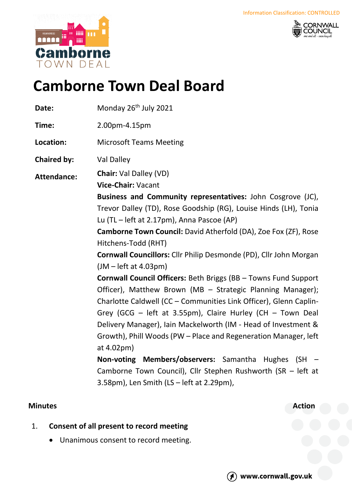



# **Camborne Town Deal Board**

Date: Monday 26<sup>th</sup> July 2021

**Time:** 2.00pm-4.15pm

**Location:** Microsoft Teams Meeting

**Chaired by:** Val Dalley

**Attendance: Chair:** Val Dalley (VD)

**Vice-Chair:** Vacant

**Business and Community representatives:** John Cosgrove (JC), Trevor Dalley (TD), Rose Goodship (RG), Louise Hinds (LH), Tonia Lu (TL – left at 2.17pm), Anna Pascoe (AP)

**Camborne Town Council:** David Atherfold (DA), Zoe Fox (ZF), Rose Hitchens-Todd (RHT)

**Cornwall Councillors:** Cllr Philip Desmonde (PD), Cllr John Morgan (JM – left at 4.03pm)

**Cornwall Council Officers:** Beth Briggs (BB – Towns Fund Support Officer), Matthew Brown (MB – Strategic Planning Manager); Charlotte Caldwell (CC – Communities Link Officer), Glenn Caplin-Grey (GCG – left at 3.55pm), Claire Hurley (CH – Town Deal Delivery Manager), Iain Mackelworth (IM - Head of Investment & Growth), Phill Woods (PW – Place and Regeneration Manager, left at 4.02pm)

**Non-voting Members/observers:** Samantha Hughes (SH – Camborne Town Council), Cllr Stephen Rushworth (SR – left at 3.58pm), Len Smith (LS – left at 2.29pm),

## **Minutes Action**

- 1. **Consent of all present to record meeting**
	- Unanimous consent to record meeting.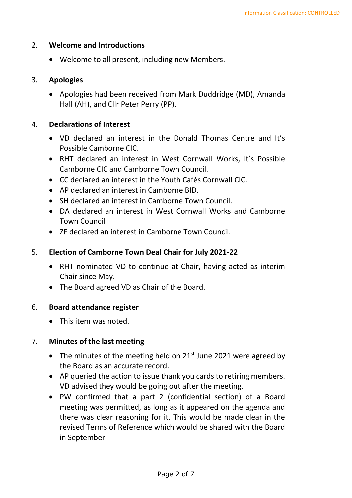#### 2. **Welcome and Introductions**

• Welcome to all present, including new Members.

#### 3. **Apologies**

• Apologies had been received from Mark Duddridge (MD), Amanda Hall (AH), and Cllr Peter Perry (PP).

#### 4. **Declarations of Interest**

- VD declared an interest in the Donald Thomas Centre and It's Possible Camborne CIC.
- RHT declared an interest in West Cornwall Works, It's Possible Camborne CIC and Camborne Town Council.
- CC declared an interest in the Youth Cafés Cornwall CIC.
- AP declared an interest in Camborne BID.
- SH declared an interest in Camborne Town Council.
- DA declared an interest in West Cornwall Works and Camborne Town Council.
- ZF declared an interest in Camborne Town Council.

## 5. **Election of Camborne Town Deal Chair for July 2021-22**

- RHT nominated VD to continue at Chair, having acted as interim Chair since May.
- The Board agreed VD as Chair of the Board.

## 6. **Board attendance register**

• This item was noted.

## 7. **Minutes of the last meeting**

- The minutes of the meeting held on  $21<sup>st</sup>$  June 2021 were agreed by the Board as an accurate record.
- AP queried the action to issue thank you cards to retiring members. VD advised they would be going out after the meeting.
- PW confirmed that a part 2 (confidential section) of a Board meeting was permitted, as long as it appeared on the agenda and there was clear reasoning for it. This would be made clear in the revised Terms of Reference which would be shared with the Board in September.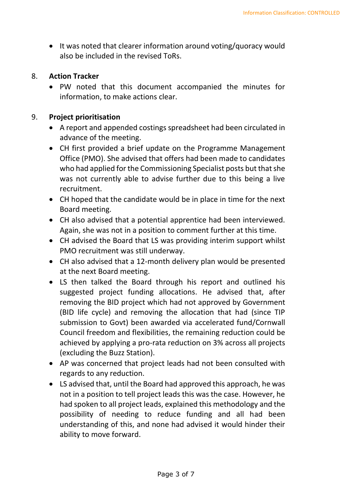• It was noted that clearer information around voting/quoracy would also be included in the revised ToRs.

## 8. **Action Tracker**

• PW noted that this document accompanied the minutes for information, to make actions clear.

## 9. **Project prioritisation**

- A report and appended costings spreadsheet had been circulated in advance of the meeting.
- CH first provided a brief update on the Programme Management Office (PMO). She advised that offers had been made to candidates who had applied for the Commissioning Specialist posts but that she was not currently able to advise further due to this being a live recruitment.
- CH hoped that the candidate would be in place in time for the next Board meeting.
- CH also advised that a potential apprentice had been interviewed. Again, she was not in a position to comment further at this time.
- CH advised the Board that LS was providing interim support whilst PMO recruitment was still underway.
- CH also advised that a 12-month delivery plan would be presented at the next Board meeting.
- LS then talked the Board through his report and outlined his suggested project funding allocations. He advised that, after removing the BID project which had not approved by Government (BID life cycle) and removing the allocation that had (since TIP submission to Govt) been awarded via accelerated fund/Cornwall Council freedom and flexibilities, the remaining reduction could be achieved by applying a pro-rata reduction on 3% across all projects (excluding the Buzz Station).
- AP was concerned that project leads had not been consulted with regards to any reduction.
- LS advised that, until the Board had approved this approach, he was not in a position to tell project leads this was the case. However, he had spoken to all project leads, explained this methodology and the possibility of needing to reduce funding and all had been understanding of this, and none had advised it would hinder their ability to move forward.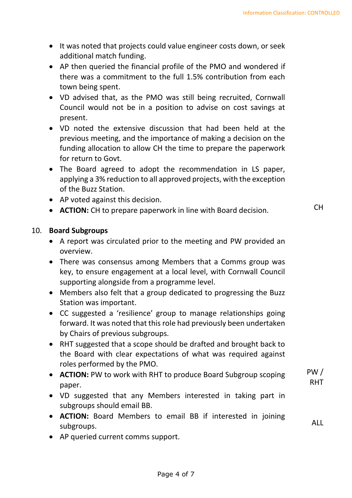- It was noted that projects could value engineer costs down, or seek additional match funding.
- AP then queried the financial profile of the PMO and wondered if there was a commitment to the full 1.5% contribution from each town being spent.
- VD advised that, as the PMO was still being recruited, Cornwall Council would not be in a position to advise on cost savings at present.
- VD noted the extensive discussion that had been held at the previous meeting, and the importance of making a decision on the funding allocation to allow CH the time to prepare the paperwork for return to Govt.
- The Board agreed to adopt the recommendation in LS paper, applying a 3% reduction to all approved projects, with the exception of the Buzz Station.
- AP voted against this decision.
- **ACTION:** CH to prepare paperwork in line with Board decision. CH

ALL

# 10. **Board Subgroups**

- A report was circulated prior to the meeting and PW provided an overview.
- There was consensus among Members that a Comms group was key, to ensure engagement at a local level, with Cornwall Council supporting alongside from a programme level.
- Members also felt that a group dedicated to progressing the Buzz Station was important.
- CC suggested a 'resilience' group to manage relationships going forward. It was noted that this role had previously been undertaken by Chairs of previous subgroups.
- RHT suggested that a scope should be drafted and brought back to the Board with clear expectations of what was required against roles performed by the PMO.
- **ACTION:** PW to work with RHT to produce Board Subgroup scoping paper. PW / RHT
- VD suggested that any Members interested in taking part in subgroups should email BB.
- **ACTION:** Board Members to email BB if interested in joining subgroups.
- AP queried current comms support.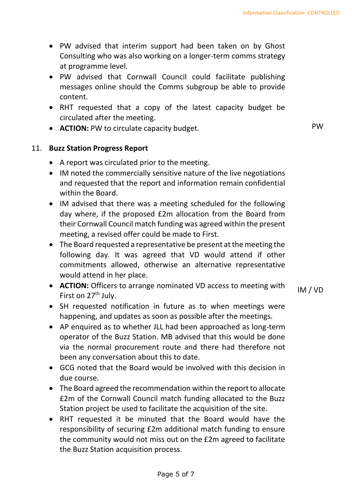- PW advised that interim support had been taken on by Ghost Consulting who was also working on a longer-term comms strategy at programme level.
- PW advised that Cornwall Council could facilitate publishing messages online should the Comms subgroup be able to provide content.
- RHT requested that a copy of the latest capacity budget be circulated after the meeting.
- **ACTION:** PW to circulate capacity budget. **EXECUTE:** PW

# 11. **Buzz Station Progress Report**

- A report was circulated prior to the meeting.
- IM noted the commercially sensitive nature of the live negotiations and requested that the report and information remain confidential within the Board.
- IM advised that there was a meeting scheduled for the following day where, if the proposed £2m allocation from the Board from their Cornwall Council match funding was agreed within the present meeting, a revised offer could be made to First.
- The Board requested a representative be present at the meeting the following day. It was agreed that VD would attend if other commitments allowed, otherwise an alternative representative would attend in her place.
- **ACTION:** Officers to arrange nominated VD access to meeting with First on 27<sup>th</sup> July. IM / VD
- SH requested notification in future as to when meetings were happening, and updates as soon as possible after the meetings.
- AP enquired as to whether JLL had been approached as long-term operator of the Buzz Station. MB advised that this would be done via the normal procurement route and there had therefore not been any conversation about this to date.
- GCG noted that the Board would be involved with this decision in due course.
- The Board agreed the recommendation within the report to allocate £2m of the Cornwall Council match funding allocated to the Buzz Station project be used to facilitate the acquisition of the site.
- RHT requested it be minuted that the Board would have the responsibility of securing £2m additional match funding to ensure the community would not miss out on the £2m agreed to facilitate the Buzz Station acquisition process.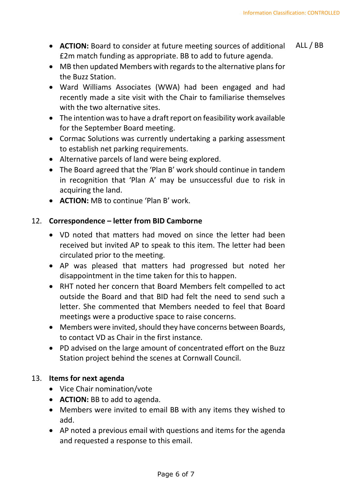- **ACTION:** Board to consider at future meeting sources of additional £2m match funding as appropriate. BB to add to future agenda. ALL / BB
- MB then updated Members with regards to the alternative plans for the Buzz Station.
- Ward Williams Associates (WWA) had been engaged and had recently made a site visit with the Chair to familiarise themselves with the two alternative sites.
- The intention was to have a draft report on feasibility work available for the September Board meeting.
- Cormac Solutions was currently undertaking a parking assessment to establish net parking requirements.
- Alternative parcels of land were being explored.
- The Board agreed that the 'Plan B' work should continue in tandem in recognition that 'Plan A' may be unsuccessful due to risk in acquiring the land.
- **ACTION:** MB to continue 'Plan B' work.

# 12. **Correspondence – letter from BID Camborne**

- VD noted that matters had moved on since the letter had been received but invited AP to speak to this item. The letter had been circulated prior to the meeting.
- AP was pleased that matters had progressed but noted her disappointment in the time taken for this to happen.
- RHT noted her concern that Board Members felt compelled to act outside the Board and that BID had felt the need to send such a letter. She commented that Members needed to feel that Board meetings were a productive space to raise concerns.
- Members were invited, should they have concerns between Boards, to contact VD as Chair in the first instance.
- PD advised on the large amount of concentrated effort on the Buzz Station project behind the scenes at Cornwall Council.

# 13. **Items for next agenda**

- Vice Chair nomination/vote
- **ACTION:** BB to add to agenda.
- Members were invited to email BB with any items they wished to add.
- AP noted a previous email with questions and items for the agenda and requested a response to this email.